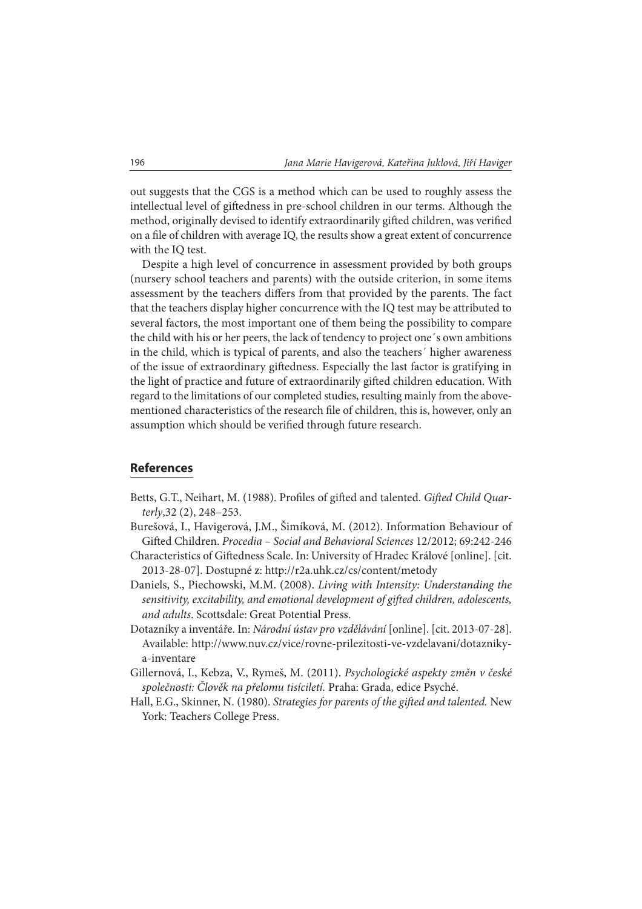out suggests that the CGS is a method which can be used to roughly assess the intellectual level of giftedness in pre-school children in our terms. Although the method, originally devised to identify extraordinarily gifted children, was verified on a file of children with average IQ, the results show a great extent of concurrence with the IQ test.

Despite a high level of concurrence in assessment provided by both groups (nursery school teachers and parents) with the outside criterion, in some items assessment by the teachers differs from that provided by the parents. The fact that the teachers display higher concurrence with the IQ test may be attributed to several factors, the most important one of them being the possibility to compare the child with his or her peers, the lack of tendency to project one´s own ambitions in the child, which is typical of parents, and also the teachers´ higher awareness of the issue of extraordinary giftedness. Especially the last factor is gratifying in the light of practice and future of extraordinarily gifted children education. With regard to the limitations of our completed studies, resulting mainly from the abovementioned characteristics of the research file of children, this is, however, only an assumption which should be verified through future research.

## **References**

- Betts, G.T., Neihart, M. (1988). Profiles of gifted and talented. Gifted Child Quarterly,32 (2), 248–253.
- Burešová, I., Havigerová, J.M., Šimíková, M. (2012). Information Behaviour of Gifted Children. Procedia - Social and Behavioral Sciences 12/2012; 69:242-246
- Characteristics of Giftedness Scale. In: University of Hradec Králové [online]. [cit. 2013-28-07]. Dostupné z: http://r2a.uhk.cz/cs/content/metody
- Daniels, S., Piechowski, M.M. (2008). Living with Intensity: Understanding the sensitivity, excitability, and emotional development of gifted children, adolescents, and adults. Scottsdale: Great Potential Press.
- Dotazníky a inventáře. In: Národní ústav pro vzdělávání [online]. [cit. 2013-07-28]. Available: http://www.nuv.cz/vice/rovne-prilezitosti-ve-vzdelavani/dotaznikya-inventare
- Gillernová, I., Kebza, V., Rymeš, M. (2011). Psychologické aspekty změn v české společnosti: Člověk na přelomu tisíciletí. Praha: Grada, edice Psyché.
- Hall, E.G., Skinner, N. (1980). Strategies for parents of the gifted and talented. New York: Teachers College Press.